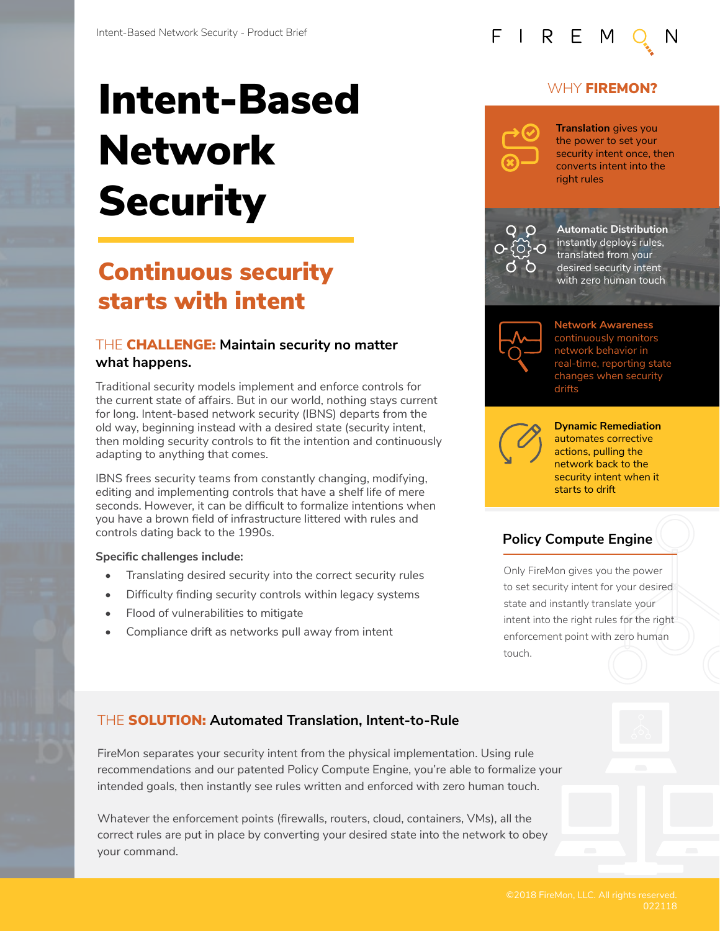# Intent-Based Network **Security**

# Continuous security starts with intent

#### THE CHALLENGE: **Maintain security no matter what happens.**

Traditional security models implement and enforce controls for the current state of affairs. But in our world, nothing stays current for long. Intent-based network security (IBNS) departs from the old way, beginning instead with a desired state (security intent, then molding security controls to fit the intention and continuously adapting to anything that comes.

IBNS frees security teams from constantly changing, modifying, editing and implementing controls that have a shelf life of mere seconds. However, it can be difficult to formalize intentions when you have a brown field of infrastructure littered with rules and controls dating back to the 1990s.

#### **Specific challenges include:**

- Translating desired security into the correct security rules
- Difficulty finding security controls within legacy systems
- Flood of vulnerabilities to mitigate
- Compliance drift as networks pull away from intent

### WHY **FIREMON?**



FIREM

**Translation** gives you the power to set your security intent once, then converts intent into the right rules



**Automatic Distribution** instantly deploys rules, translated from your desired security intent with zero human touch



**Network Awareness**  continuously monitors network behavior in real-time, reporting state changes when security drifts



**Dynamic Remediation**  automates corrective actions, pulling the network back to the security intent when it starts to drift

## **Policy Compute Engine**

Only FireMon gives you the power to set security intent for your desired state and instantly translate your intent into the right rules for the right enforcement point with zero human touch.

## THE SOLUTION: **Automated Translation, Intent-to-Rule**

FireMon separates your security intent from the physical implementation. Using rule recommendations and our patented Policy Compute Engine, you're able to formalize your intended goals, then instantly see rules written and enforced with zero human touch.

Whatever the enforcement points (firewalls, routers, cloud, containers, VMs), all the correct rules are put in place by converting your desired state into the network to obey your command.